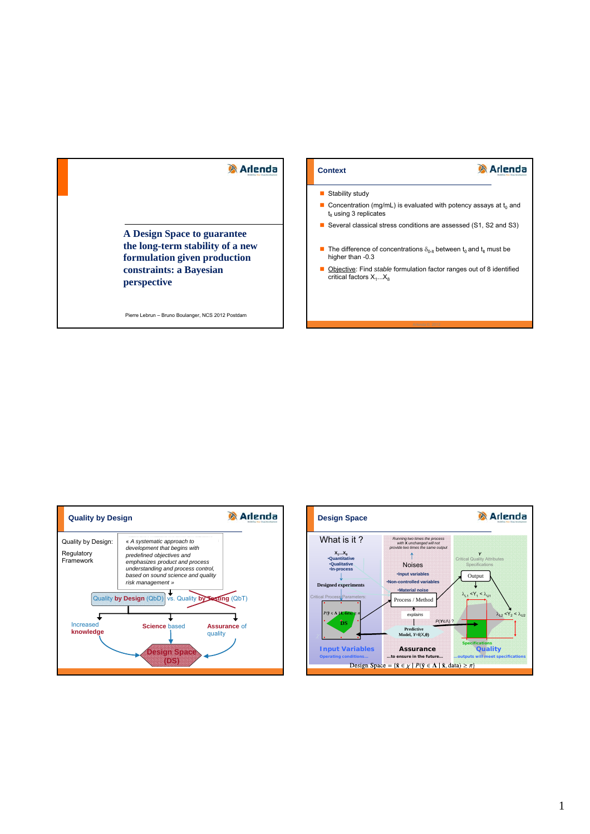# **Arlenda**

**Arlenda** 

#### Stability study

**Context**

- Concentration (mg/mL) is evaluated with potency assays at  $t_0$  and  $t<sub>it</sub>$  using 3 replicates
- Several classical stress conditions are assessed (S1, S2 and S3)
- The difference of concentrations  $\delta_{0\text{-}lt}$  between  $t_0$  and  $t_{lt}$  must be higher than -0.3
- **D** Objective: Find *stable* formulation factor ranges out of 8 identified critical factors  $X_1...X_8$

**A Design Space to guarantee the long-term stability of a new formulation given production constraints: a Bayesian perspective**

Pierre Lebrun – Bruno Boulanger, NCS 2012 Postdam



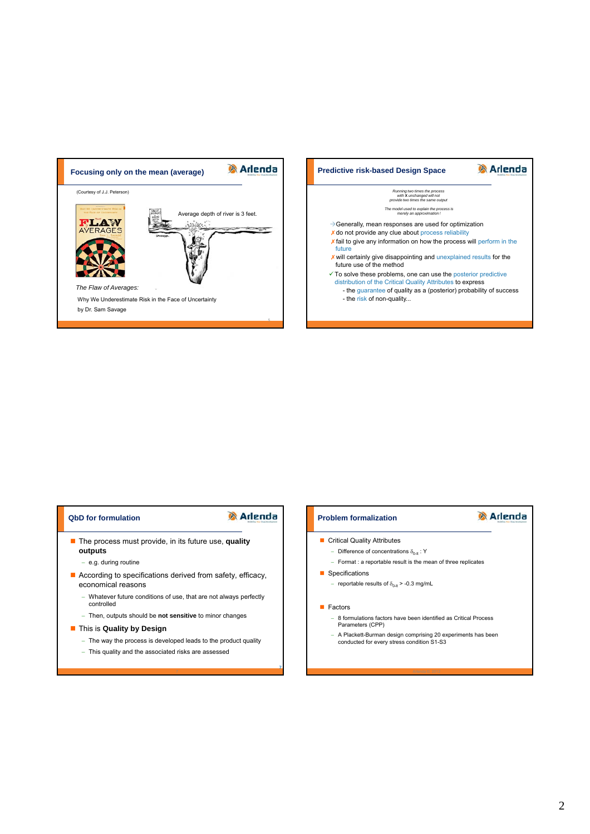



## **QbD for formulation**

# **Arlenda**

**7**

5

- The process must provide, in its future use, **quality outputs**
	- e.g. during routine
- According to specifications derived from safety, efficacy, economical reasons
	- Whatever future conditions of use, that are not always perfectly controlled
	- Then, outputs should be **not sensitive** to minor changes
- **This is Quality by Design** 
	- The way the process is developed leads to the product quality
	- This quality and the associated risks are assessed

#### **Problem formalization**

- Critical Quality Attributes
- Difference of concentrations  $\delta_{0-\alpha}$ : Y
	- $-$  Format : a reportable result is the mean of three replicates

**Arlenda** 

- **Specifications** 
	- reportable results of  $\delta_{0-\mu}$  > -0.3 mg/mL
- **Factors** 
	- 8 formulations factors have been identified as Critical Process Parameters (CPP)
	- A Plackett-Burman design comprising 20 experiments has been conducted for every stress condition S1-S3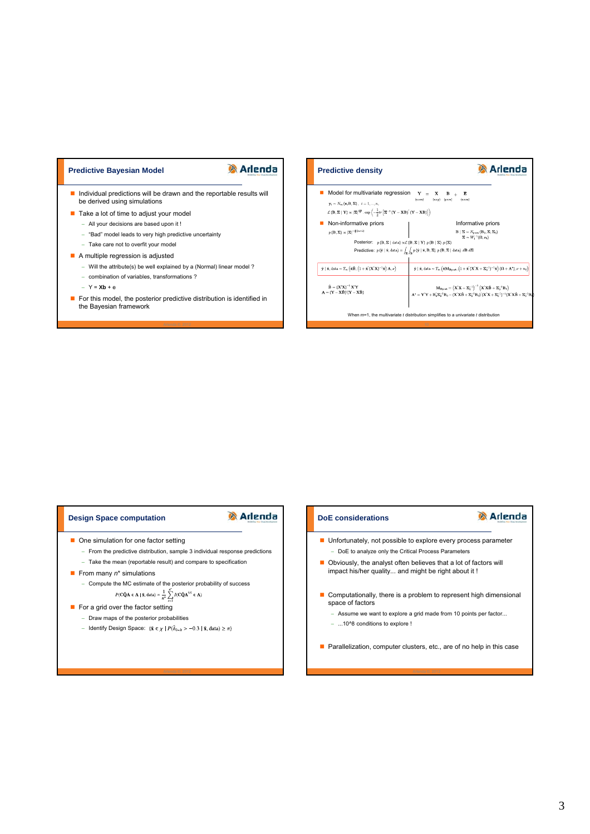#### **Predictive Bayesian Model**

## **Arlenda**

Individual predictions will be drawn and the reportable results will be derived using simulations

- Take a lot of time to adjust your model
	- All your decisions are based upon it !
	- "Bad" model leads to very high predictive uncertainty
	- Take care not to overfit your model
- A multiple regression is adjusted
	- Will the attribute(s) be well explained by a (Normal) linear model?
	- combination of variables, transformations ?
	- $Y = Xb + e$
- For this model, the posterior predictive distribution is identified in the Bayesian framework



### **Design Space computation**

## **A** Arlenda

- **D** One simulation for one factor setting
- From the predictive distribution, sample 3 individual response predictions
	- Take the mean (reportable result) and compare to specification
- From many  $n^*$  simulations
	- Compute the MC estimate of the posterior probability of success  $P(\mathbf{C}\tilde{\mathbf{Q}}\mathbf{A} \in \mathbf{\Lambda} \mid \tilde{\mathbf{x}}, \text{data}) \simeq \frac{1}{n^*} \sum_{i=1}^{n^*} I(\mathbf{C}\tilde{\mathbf{Q}}\mathbf{A}^{(s)} \in \mathbf{\Lambda})$
- $\blacksquare$  For a grid over the factor setting
	- Draw maps of the posterior probabilities
	- Identify Design Space:  $\{\tilde{\mathbf{x}} \in \chi \mid P(\tilde{\delta}_{0-h} > -0.3 \mid \tilde{\mathbf{x}}, \text{data}) \geq \pi\}$

#### **DoE considerations**

# **Arlenda**

- Unfortunately, not possible to explore every process parameter - DoE to analyze only the Critical Process Parameters
- Obviously, the analyst often believes that a lot of factors will impact his/her quality... and might be right about it !
- Computationally, there is a problem to represent high dimensional space of factors
	- Assume we want to explore a grid made from 10 points per factor...
	- ...10^8 conditions to explore !
- **Parallelization, computer clusters, etc., are of no help in this case**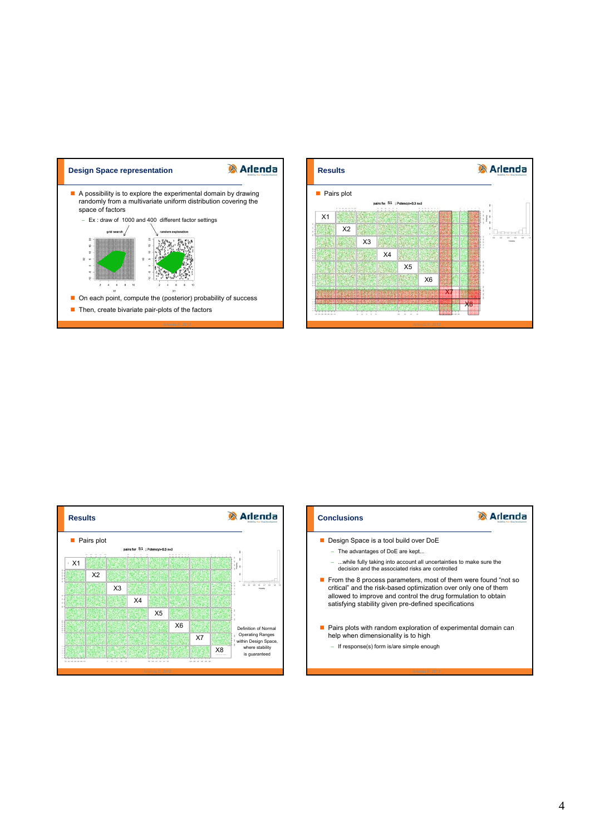